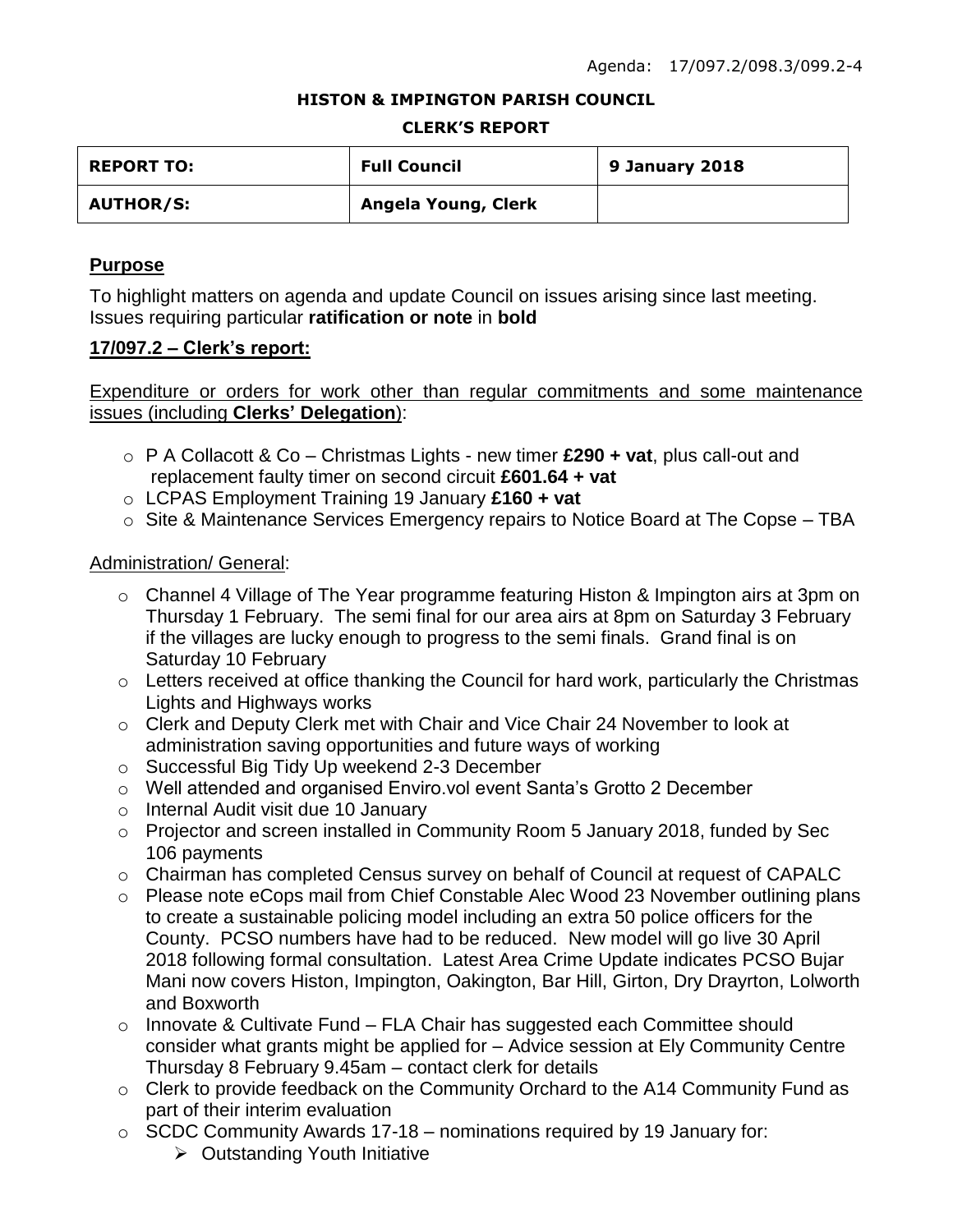#### **HISTON & IMPINGTON PARISH COUNCIL**

#### **CLERK'S REPORT**

| <b>REPORT TO:</b> | <b>Full Council</b> | 9 January 2018 |
|-------------------|---------------------|----------------|
| <b>AUTHOR/S:</b>  | Angela Young, Clerk |                |

### **Purpose**

To highlight matters on agenda and update Council on issues arising since last meeting. Issues requiring particular **ratification or note** in **bold**

#### **17/097.2 – Clerk's report:**

Expenditure or orders for work other than regular commitments and some maintenance issues (including **Clerks' Delegation**):

- o P A Collacott & Co Christmas Lights new timer **£290 + vat**, plus call-out and replacement faulty timer on second circuit **£601.64 + vat**
- o LCPAS Employment Training 19 January **£160 + vat**
- o Site & Maintenance Services Emergency repairs to Notice Board at The Copse TBA

### Administration/ General:

- o Channel 4 Village of The Year programme featuring Histon & Impington airs at 3pm on Thursday 1 February. The semi final for our area airs at 8pm on Saturday 3 February if the villages are lucky enough to progress to the semi finals. Grand final is on Saturday 10 February
- o Letters received at office thanking the Council for hard work, particularly the Christmas Lights and Highways works
- o Clerk and Deputy Clerk met with Chair and Vice Chair 24 November to look at administration saving opportunities and future ways of working
- o Successful Big Tidy Up weekend 2-3 December
- o Well attended and organised Enviro.vol event Santa's Grotto 2 December
- o Internal Audit visit due 10 January
- o Projector and screen installed in Community Room 5 January 2018, funded by Sec 106 payments
- o Chairman has completed Census survey on behalf of Council at request of CAPALC
- o Please note eCops mail from Chief Constable Alec Wood 23 November outlining plans to create a sustainable policing model including an extra 50 police officers for the County. PCSO numbers have had to be reduced. New model will go live 30 April 2018 following formal consultation. Latest Area Crime Update indicates PCSO Bujar Mani now covers Histon, Impington, Oakington, Bar Hill, Girton, Dry Drayrton, Lolworth and Boxworth
- o Innovate & Cultivate Fund FLA Chair has suggested each Committee should consider what grants might be applied for – Advice session at Ely Community Centre Thursday 8 February 9.45am – contact clerk for details
- o Clerk to provide feedback on the Community Orchard to the A14 Community Fund as part of their interim evaluation
- $\circ$  SCDC Community Awards 17-18 nominations required by 19 January for:
	- $\triangleright$  Outstanding Youth Initiative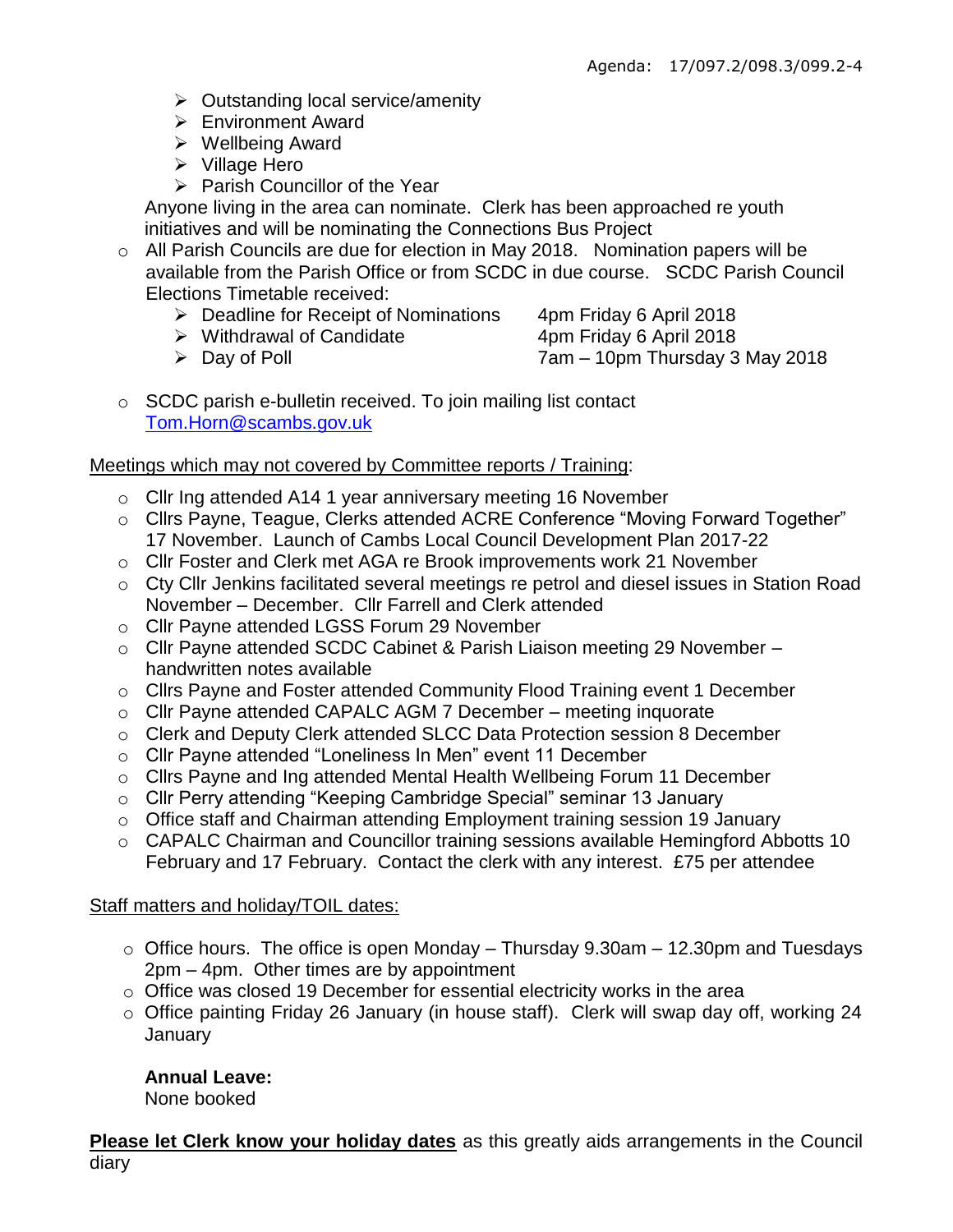- $\triangleright$  Outstanding local service/amenity
- Environment Award
- Wellbeing Award
- $\triangleright$  Village Hero
- $\triangleright$  Parish Councillor of the Year

Anyone living in the area can nominate. Clerk has been approached re youth initiatives and will be nominating the Connections Bus Project

- o All Parish Councils are due for election in May 2018. Nomination papers will be available from the Parish Office or from SCDC in due course. SCDC Parish Council Elections Timetable received:
	- $\triangleright$  Deadline for Receipt of Nominations 4pm Friday 6 April 2018
	- ▶ Withdrawal of Candidate 4pm Friday 6 April 2018
	-
	- Day of Poll 7am 10pm Thursday 3 May 2018
- o SCDC parish e-bulletin received. To join mailing list contact [Tom.Horn@scambs.gov.uk](mailto:Tom.Horn@scambs.gov.uk)

## Meetings which may not covered by Committee reports / Training:

- o Cllr Ing attended A14 1 year anniversary meeting 16 November
- o Cllrs Payne, Teague, Clerks attended ACRE Conference "Moving Forward Together" 17 November. Launch of Cambs Local Council Development Plan 2017-22
- o Cllr Foster and Clerk met AGA re Brook improvements work 21 November
- o Cty Cllr Jenkins facilitated several meetings re petrol and diesel issues in Station Road November – December. Cllr Farrell and Clerk attended
- o Cllr Payne attended LGSS Forum 29 November
- o Cllr Payne attended SCDC Cabinet & Parish Liaison meeting 29 November handwritten notes available
- o Cllrs Payne and Foster attended Community Flood Training event 1 December
- o Cllr Payne attended CAPALC AGM 7 December meeting inquorate
- o Clerk and Deputy Clerk attended SLCC Data Protection session 8 December
- o Cllr Payne attended "Loneliness In Men" event 11 December
- o Cllrs Payne and Ing attended Mental Health Wellbeing Forum 11 December
- o Cllr Perry attending "Keeping Cambridge Special" seminar 13 January
- o Office staff and Chairman attending Employment training session 19 January
- o CAPALC Chairman and Councillor training sessions available Hemingford Abbotts 10 February and 17 February. Contact the clerk with any interest. £75 per attendee

## Staff matters and holiday/TOIL dates:

- $\circ$  Office hours. The office is open Monday Thursday 9.30am 12.30pm and Tuesdays 2pm – 4pm. Other times are by appointment
- o Office was closed 19 December for essential electricity works in the area
- o Office painting Friday 26 January (in house staff). Clerk will swap day off, working 24 **January**

# **Annual Leave:**

None booked

**Please let Clerk know your holiday dates** as this greatly aids arrangements in the Council diary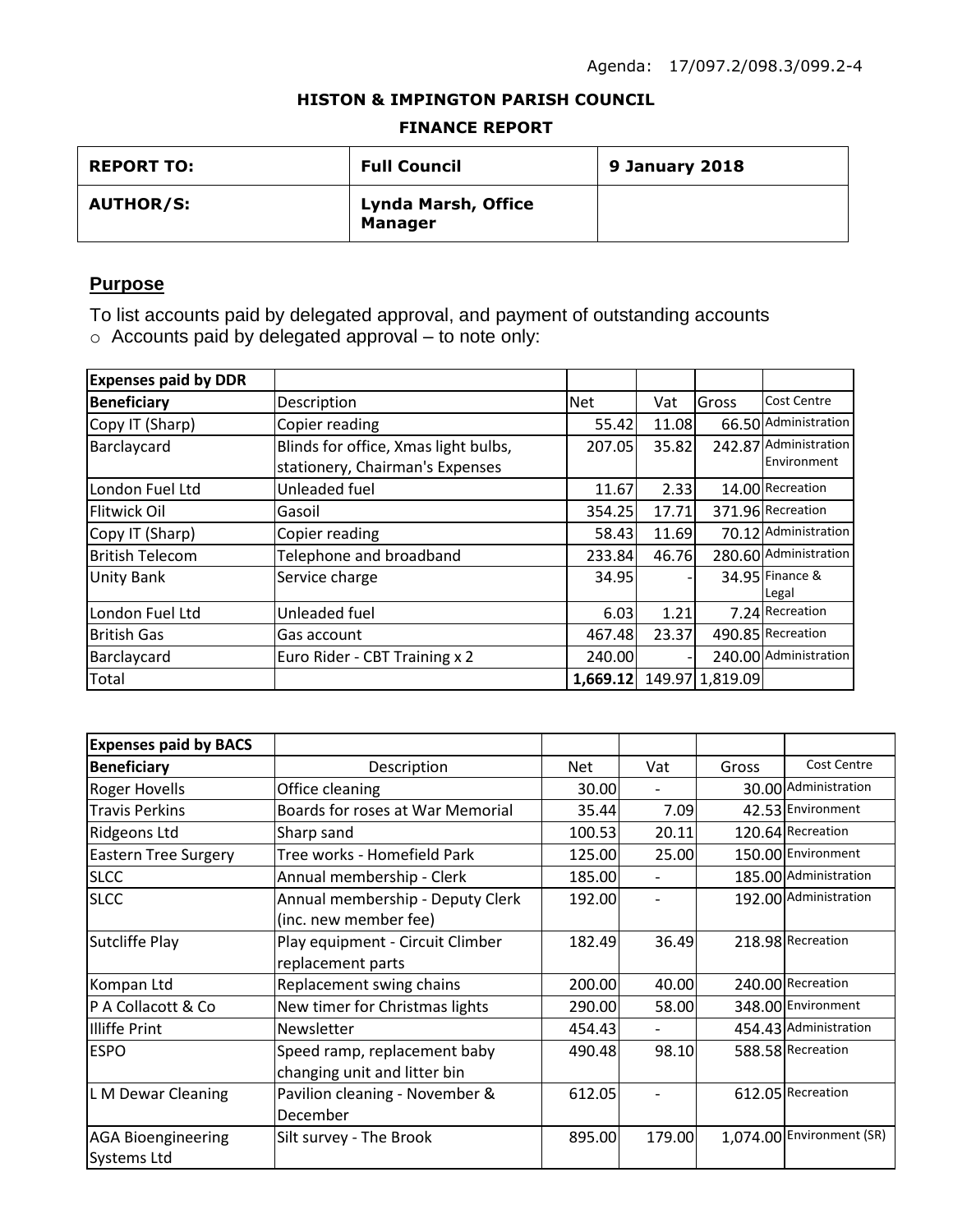## **HISTON & IMPINGTON PARISH COUNCIL**

#### **FINANCE REPORT**

| <b>REPORT TO:</b> | <b>Full Council</b>                          | 9 January 2018 |
|-------------------|----------------------------------------------|----------------|
| <b>AUTHOR/S:</b>  | <b>Lynda Marsh, Office</b><br><b>Manager</b> |                |

# **Purpose**

To list accounts paid by delegated approval, and payment of outstanding accounts o Accounts paid by delegated approval – to note only:

| <b>Expenses paid by DDR</b> |                                      |            |       |                 |                       |
|-----------------------------|--------------------------------------|------------|-------|-----------------|-----------------------|
| <b>Beneficiary</b>          | Description                          | <b>Net</b> | Vat   | Gross           | <b>Cost Centre</b>    |
| Copy IT (Sharp)             | Copier reading                       | 55.42      | 11.08 |                 | 66.50 Administration  |
| Barclaycard                 | Blinds for office, Xmas light bulbs, | 207.05     | 35.82 |                 | 242.87 Administration |
|                             | stationery, Chairman's Expenses      |            |       |                 | Environment           |
| London Fuel Ltd             | Unleaded fuel                        | 11.67      | 2.33  |                 | 14.00 Recreation      |
| <b>Flitwick Oil</b>         | Gasoil                               | 354.25     | 17.71 |                 | 371.96 Recreation     |
| Copy IT (Sharp)             | Copier reading                       | 58.43      | 11.69 |                 | 70.12 Administration  |
| <b>British Telecom</b>      | Telephone and broadband              | 233.84     | 46.76 |                 | 280.60 Administration |
| <b>Unity Bank</b>           | Service charge                       | 34.95      |       |                 | 34.95 Finance &       |
|                             |                                      |            |       |                 | Legal                 |
| London Fuel Ltd             | Unleaded fuel                        | 6.03       | 1.21  |                 | 7.24 Recreation       |
| <b>British Gas</b>          | Gas account                          | 467.48     | 23.37 |                 | 490.85 Recreation     |
| Barclaycard                 | Euro Rider - CBT Training x 2        | 240.00     |       |                 | 240.00 Administration |
| Total                       |                                      | 1,669.12   |       | 149.97 1,819.09 |                       |

| <b>Expenses paid by BACS</b> |                                  |            |        |       |                           |
|------------------------------|----------------------------------|------------|--------|-------|---------------------------|
| <b>Beneficiary</b>           | Description                      | <b>Net</b> | Vat    | Gross | <b>Cost Centre</b>        |
| <b>Roger Hovells</b>         | Office cleaning                  | 30.00      |        |       | 30.00 Administration      |
| <b>Travis Perkins</b>        | Boards for roses at War Memorial | 35.44      | 7.09   |       | 42.53 Environment         |
| Ridgeons Ltd                 | Sharp sand                       | 100.53     | 20.11  |       | 120.64 Recreation         |
| <b>Eastern Tree Surgery</b>  | Tree works - Homefield Park      | 125.00     | 25.00  |       | 150.00 Environment        |
| <b>SLCC</b>                  | Annual membership - Clerk        | 185.00     |        |       | 185.00 Administration     |
| <b>SLCC</b>                  | Annual membership - Deputy Clerk | 192.00     |        |       | 192.00 Administration     |
|                              | (inc. new member fee)            |            |        |       |                           |
| Sutcliffe Play               | Play equipment - Circuit Climber | 182.49     | 36.49  |       | 218.98 Recreation         |
|                              | replacement parts                |            |        |       |                           |
| Kompan Ltd                   | Replacement swing chains         | 200.00     | 40.00  |       | 240.00 Recreation         |
| P A Collacott & Co           | New timer for Christmas lights   | 290.00     | 58.00  |       | 348.00 Environment        |
| Illiffe Print                | Newsletter                       | 454.43     |        |       | 454.43 Administration     |
| <b>ESPO</b>                  | Speed ramp, replacement baby     | 490.48     | 98.10  |       | 588.58 Recreation         |
|                              | changing unit and litter bin     |            |        |       |                           |
| L M Dewar Cleaning           | Pavilion cleaning - November &   | 612.05     |        |       | 612.05 Recreation         |
|                              | December                         |            |        |       |                           |
| <b>AGA Bioengineering</b>    | Silt survey - The Brook          | 895.00     | 179.00 |       | 1,074.00 Environment (SR) |
| <b>Systems Ltd</b>           |                                  |            |        |       |                           |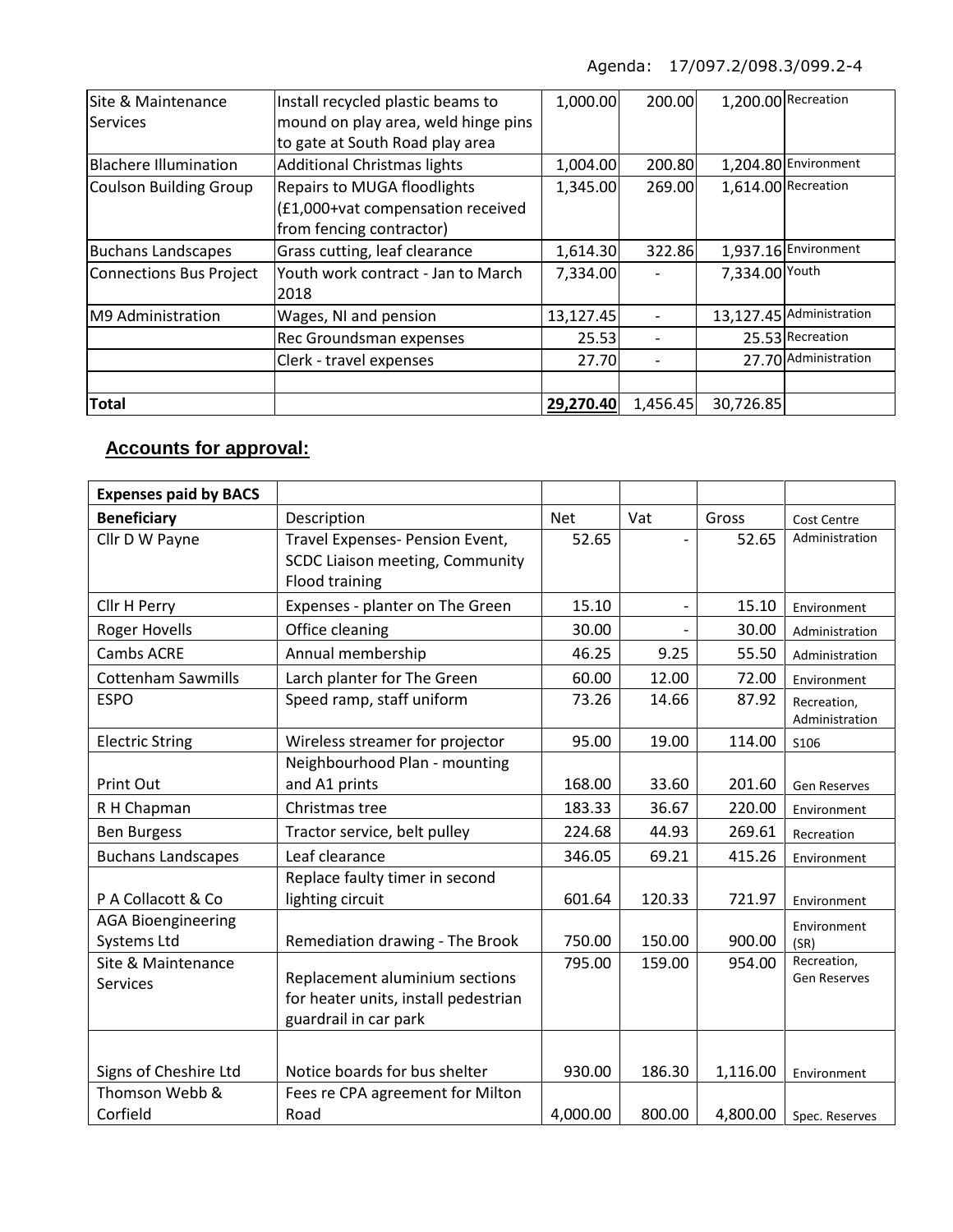| Site & Maintenance             | Install recycled plastic beams to   | 1,000.00  | 200.00   |                | 1,200.00 Recreation      |
|--------------------------------|-------------------------------------|-----------|----------|----------------|--------------------------|
| Services                       | mound on play area, weld hinge pins |           |          |                |                          |
|                                | to gate at South Road play area     |           |          |                |                          |
| <b>Blachere Illumination</b>   | <b>Additional Christmas lights</b>  | 1,004.00  | 200.80   |                | 1,204.80 Environment     |
| <b>Coulson Building Group</b>  | <b>Repairs to MUGA floodlights</b>  | 1,345.00  | 269.00   |                | 1,614.00 Recreation      |
|                                | (£1,000+vat compensation received   |           |          |                |                          |
|                                | from fencing contractor)            |           |          |                |                          |
| <b>Buchans Landscapes</b>      | Grass cutting, leaf clearance       | 1,614.30  | 322.86   |                | 1,937.16 Environment     |
| <b>Connections Bus Project</b> | Youth work contract - Jan to March  | 7,334.00  |          | 7,334.00 Youth |                          |
|                                | 2018                                |           |          |                |                          |
| M9 Administration              | Wages, NI and pension               | 13,127.45 |          |                | 13,127.45 Administration |
|                                | Rec Groundsman expenses             | 25.53     |          |                | 25.53 Recreation         |
|                                | Clerk - travel expenses             | 27.70     |          |                | 27.70 Administration     |
|                                |                                     |           |          |                |                          |
| <b>Total</b>                   |                                     | 29,270.40 | 1,456.45 | 30,726.85      |                          |

# **Accounts for approval:**

| <b>Expenses paid by BACS</b> |                                      |            |        |          |                     |
|------------------------------|--------------------------------------|------------|--------|----------|---------------------|
| <b>Beneficiary</b>           | Description                          | <b>Net</b> | Vat    | Gross    | <b>Cost Centre</b>  |
| Cllr D W Payne               | Travel Expenses- Pension Event,      | 52.65      |        | 52.65    | Administration      |
|                              | SCDC Liaison meeting, Community      |            |        |          |                     |
|                              | <b>Flood training</b>                |            |        |          |                     |
| Cllr H Perry                 | Expenses - planter on The Green      | 15.10      |        | 15.10    | Environment         |
| <b>Roger Hovells</b>         | Office cleaning                      | 30.00      |        | 30.00    | Administration      |
| <b>Cambs ACRE</b>            | Annual membership                    | 46.25      | 9.25   | 55.50    | Administration      |
| <b>Cottenham Sawmills</b>    | Larch planter for The Green          | 60.00      | 12.00  | 72.00    | Environment         |
| <b>ESPO</b>                  | Speed ramp, staff uniform            | 73.26      | 14.66  | 87.92    | Recreation,         |
|                              |                                      |            |        |          | Administration      |
| <b>Electric String</b>       | Wireless streamer for projector      | 95.00      | 19.00  | 114.00   | S106                |
|                              | Neighbourhood Plan - mounting        |            |        |          |                     |
| Print Out                    | and A1 prints                        | 168.00     | 33.60  | 201.60   | <b>Gen Reserves</b> |
| R H Chapman                  | Christmas tree                       | 183.33     | 36.67  | 220.00   | Environment         |
| <b>Ben Burgess</b>           | Tractor service, belt pulley         | 224.68     | 44.93  | 269.61   | Recreation          |
| <b>Buchans Landscapes</b>    | Leaf clearance                       | 346.05     | 69.21  | 415.26   | Environment         |
|                              | Replace faulty timer in second       |            |        |          |                     |
| P A Collacott & Co           | lighting circuit                     | 601.64     | 120.33 | 721.97   | Environment         |
| <b>AGA Bioengineering</b>    |                                      |            |        |          | Environment         |
| Systems Ltd                  | Remediation drawing - The Brook      | 750.00     | 150.00 | 900.00   | (SR)                |
| Site & Maintenance           |                                      | 795.00     | 159.00 | 954.00   | Recreation,         |
| <b>Services</b>              | Replacement aluminium sections       |            |        |          | <b>Gen Reserves</b> |
|                              | for heater units, install pedestrian |            |        |          |                     |
|                              | guardrail in car park                |            |        |          |                     |
|                              |                                      |            |        |          |                     |
| Signs of Cheshire Ltd        | Notice boards for bus shelter        | 930.00     | 186.30 | 1,116.00 | Environment         |
| Thomson Webb &               | Fees re CPA agreement for Milton     |            |        |          |                     |
| Corfield                     | Road                                 | 4,000.00   | 800.00 | 4,800.00 | Spec. Reserves      |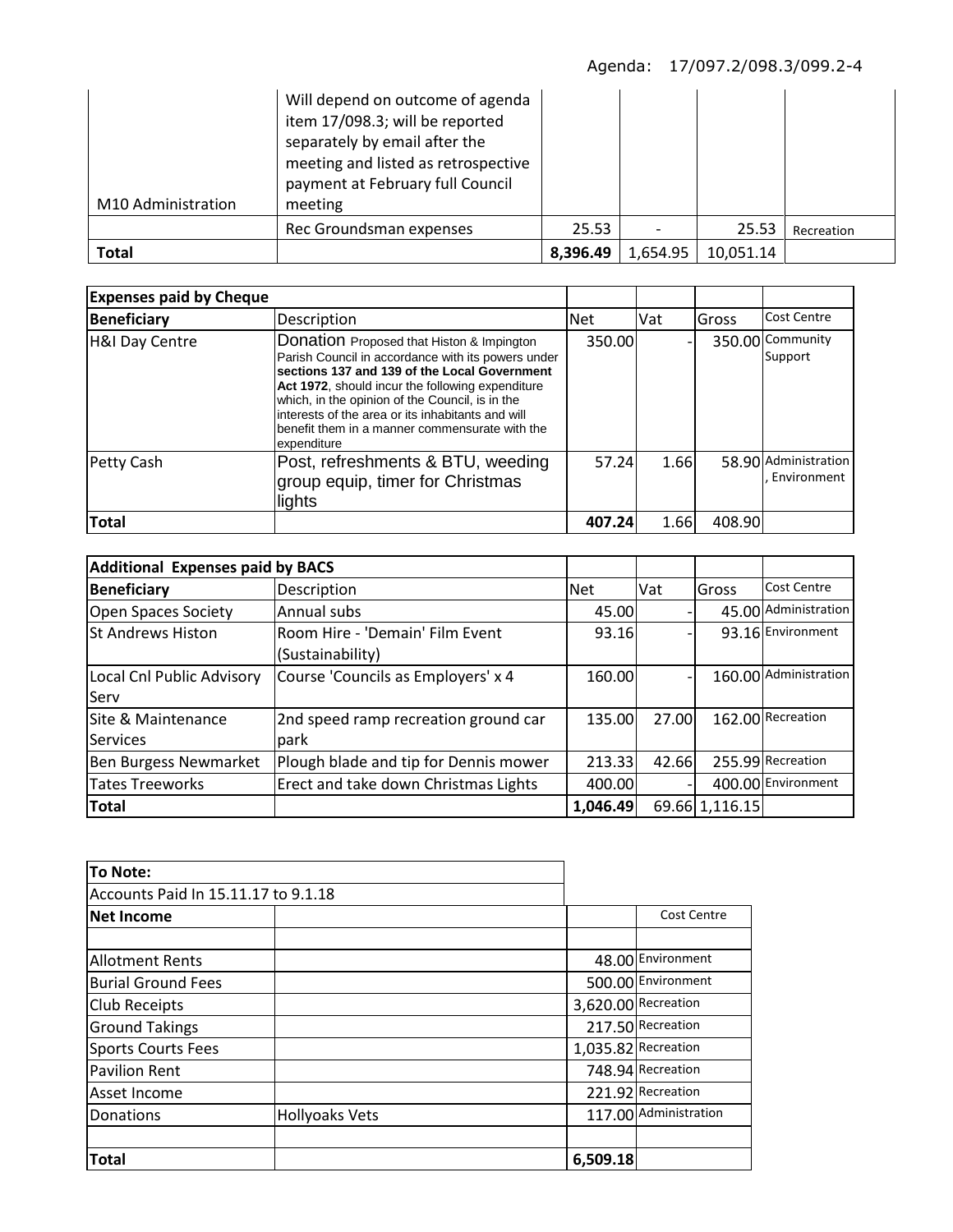| M10 Administration | Will depend on outcome of agenda<br>item 17/098.3; will be reported<br>separately by email after the<br>meeting and listed as retrospective<br>payment at February full Council<br>meeting |          |          |           |            |
|--------------------|--------------------------------------------------------------------------------------------------------------------------------------------------------------------------------------------|----------|----------|-----------|------------|
|                    | Rec Groundsman expenses                                                                                                                                                                    | 25.53    |          | 25.53     | Recreation |
| Total              |                                                                                                                                                                                            | 8,396.49 | 1,654.95 | 10,051.14 |            |

| <b>Expenses paid by Cheque</b> |                                                                                                                                                                                                                                                                                                                                                                              |            |            |        |                                     |
|--------------------------------|------------------------------------------------------------------------------------------------------------------------------------------------------------------------------------------------------------------------------------------------------------------------------------------------------------------------------------------------------------------------------|------------|------------|--------|-------------------------------------|
| Beneficiary                    | Description                                                                                                                                                                                                                                                                                                                                                                  | <b>Net</b> | <b>Vat</b> | Gross  | Cost Centre                         |
| H&I Day Centre                 | Donation Proposed that Histon & Impington<br>Parish Council in accordance with its powers under<br>sections 137 and 139 of the Local Government<br>Act 1972, should incur the following expenditure<br>which, in the opinion of the Council, is in the<br>interests of the area or its inhabitants and will<br>benefit them in a manner commensurate with the<br>expenditure | 350.00     |            |        | 350.00 Community<br>Support         |
| Petty Cash                     | Post, refreshments & BTU, weeding<br>group equip, timer for Christmas<br>lights                                                                                                                                                                                                                                                                                              | 57.24      | 1.66       |        | 58.90 Administration<br>Environment |
| <b>Total</b>                   |                                                                                                                                                                                                                                                                                                                                                                              | 407.24     | 1.66       | 408.90 |                                     |

| <b>Additional Expenses paid by BACS</b> |                                       |            |       |                |                       |
|-----------------------------------------|---------------------------------------|------------|-------|----------------|-----------------------|
| <b>Beneficiary</b>                      | Description                           | <b>Net</b> | Vat   | <b>IGross</b>  | Cost Centre           |
| Open Spaces Society                     | Annual subs                           | 45.00      |       |                | 45.00 Administration  |
| lSt Andrews Histon                      | Room Hire - 'Demain' Film Event       | 93.16      |       |                | 93.16 Environment     |
|                                         | (Sustainability)                      |            |       |                |                       |
| Local Cnl Public Advisory               | Course 'Councils as Employers' x 4    | 160.00     |       |                | 160.00 Administration |
| Serv                                    |                                       |            |       |                |                       |
| <b>Site &amp; Maintenance</b>           | 2nd speed ramp recreation ground car  | 135.00     | 27.00 |                | 162.00 Recreation     |
| <b>Services</b>                         | park                                  |            |       |                |                       |
| Ben Burgess Newmarket                   | Plough blade and tip for Dennis mower | 213.33     | 42.66 |                | 255.99 Recreation     |
| <b>Tates Treeworks</b>                  | Erect and take down Christmas Lights  | 400.00     |       |                | 400.00 Environment    |
| <b>Total</b>                            |                                       | 1,046.49   |       | 69.66 1,116.15 |                       |

| To Note:                            |                       |          |                       |
|-------------------------------------|-----------------------|----------|-----------------------|
| Accounts Paid In 15.11.17 to 9.1.18 |                       |          |                       |
| <b>Net Income</b>                   |                       |          | <b>Cost Centre</b>    |
|                                     |                       |          |                       |
| <b>Allotment Rents</b>              |                       |          | 48.00 Environment     |
| <b>Burial Ground Fees</b>           |                       |          | 500.00 Environment    |
| <b>Club Receipts</b>                |                       |          | 3,620.00 Recreation   |
| <b>Ground Takings</b>               |                       |          | 217.50 Recreation     |
| Sports Courts Fees                  |                       |          | 1,035.82 Recreation   |
| <b>Pavilion Rent</b>                |                       |          | 748.94 Recreation     |
| lAsset Income                       |                       |          | 221.92 Recreation     |
| Donations                           | <b>Hollyoaks Vets</b> |          | 117.00 Administration |
|                                     |                       |          |                       |
| Total                               |                       | 6,509.18 |                       |